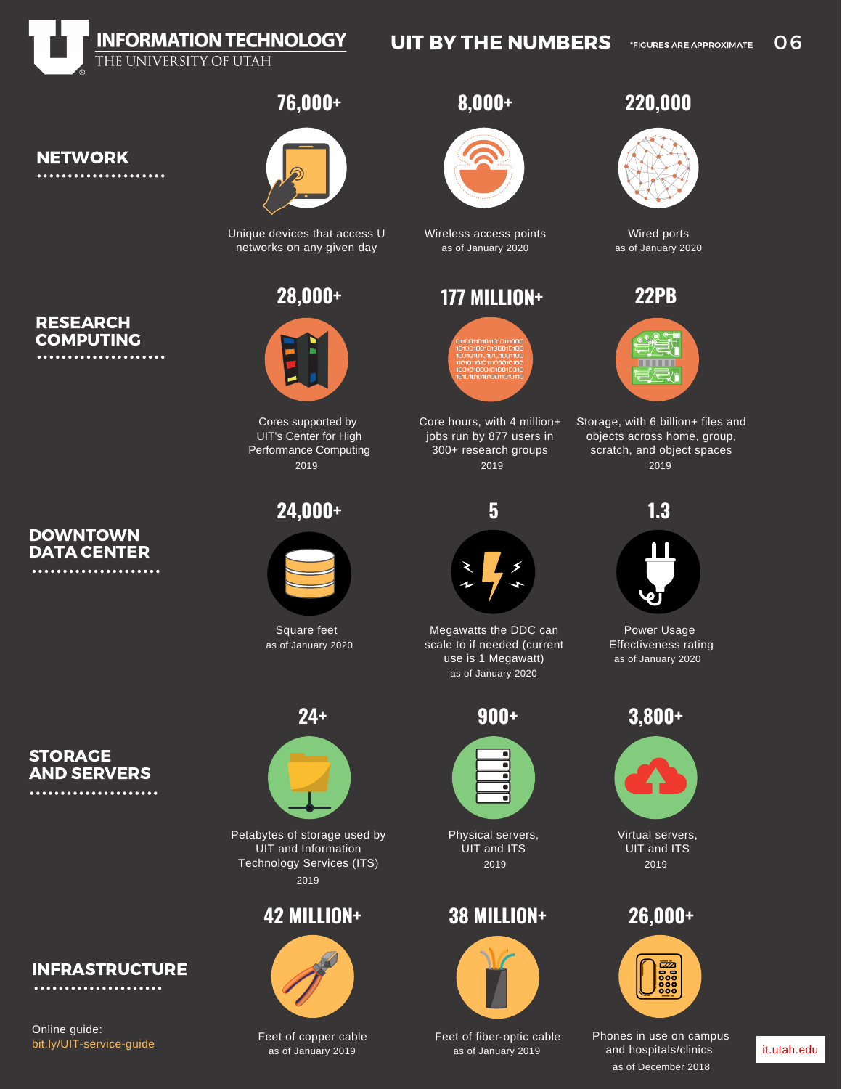

## UIT BY THE NUMBERS  $V_{FIGURES ARE APPROXIMATE}$  06

**76,000+ 8,000+**

Unique devices that access U Wireless access points networks on any given day



Cores supported by UIT's Center for High Performance Computing 2019



as of January 2020

### **STORAGE** AND SERVERS ....................

RESEARCH **COMPUTING** 

. . . . . . . . . . . . . . . . . .

**DOWNTOWN** DATA CENTER

.....................

NETWORK

Online guide:

[bit.ly/UIT-service-guide](https://it.utah.edu/_downloads/UIT_Service_Guide.pdf)

INFRASTRUCTURE



Petabytes of storage used by UIT and Information Technology Services (ITS) 2019

# **42 MILLION+**



Feet of copper cable



as of January 2020 as of January 2020

# **28,000+ 177 MILLION+**



Core hours, with 4 million+ jobs run by 877 users in 300+ research groups 2019



Square feet Megawatts the DDC can scale to if needed (current use is 1 Megawatt) as of January 2020

**900+**



Physical servers, UIT and ITS 2019

# **38 MILLION+**



Feet of fiber-optic cable<br>as of January 2019 as of January 2019 as of January 2019 and hospitals/clinics

# **220,000**



Wired ports





Storage, with 6 billion+ files and objects across home, group, scratch, and object spaces 2019



Power Usage Effectiveness rating as of January 2020





UIT and ITS 2019





as of December 2018 Phones in use on campus